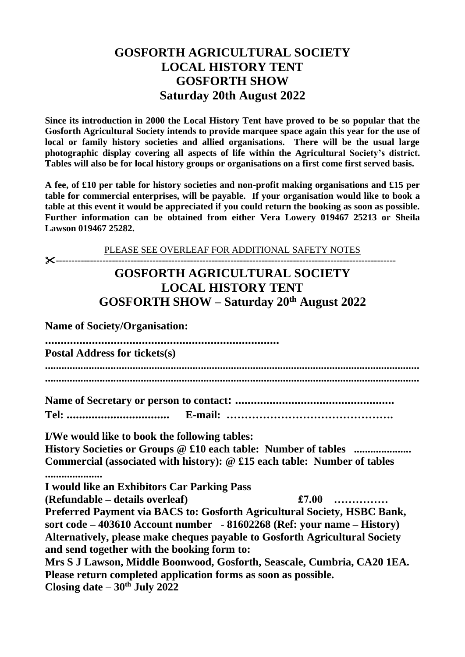## **GOSFORTH AGRICULTURAL SOCIETY LOCAL HISTORY TENT GOSFORTH SHOW Saturday 20th August 2022**

**Since its introduction in 2000 the Local History Tent have proved to be so popular that the Gosforth Agricultural Society intends to provide marquee space again this year for the use of local or family history societies and allied organisations. There will be the usual large photographic display covering all aspects of life within the Agricultural Society's district. Tables will also be for local history groups or organisations on a first come first served basis.** 

**A fee, of £10 per table for history societies and non-profit making organisations and £15 per table for commercial enterprises, will be payable. If your organisation would like to book a table at this event it would be appreciated if you could return the booking as soon as possible. Further information can be obtained from either Vera Lowery 019467 25213 or Sheila Lawson 019467 25282.**

PLEASE SEE OVERLEAF FOR ADDITIONAL SAFETY NOTES **-------------------------------------------------------------------------------------------------------------**

## **GOSFORTH AGRICULTURAL SOCIETY LOCAL HISTORY TENT GOSFORTH SHOW – Saturday 20th August 2022**

**Name of Society/Organisation:**

| <b>Postal Address for tickets(s)</b>                                                                                           |  |
|--------------------------------------------------------------------------------------------------------------------------------|--|
|                                                                                                                                |  |
| I/We would like to book the following tables:                                                                                  |  |
| Commercial (associated with history): $@$ £15 each table: Number of tables<br>.<br>I would like an Exhibitors Car Parking Pass |  |
| £7.00<br>(Refundable – details overleaf)<br>Preferred Payment via BACS to: Gosforth Agricultural Society, HSBC Bank,           |  |

**Preferred Agricultural Society, HSBC Bank sort code – 403610 Account number - 81602268 (Ref: your name – History) Alternatively, please make cheques payable to Gosforth Agricultural Society and send together with the booking form to:**

**Mrs S J Lawson, Middle Boonwood, Gosforth, Seascale, Cumbria, CA20 1EA. Please return completed application forms as soon as possible. Closing date – 30 th July 2022**